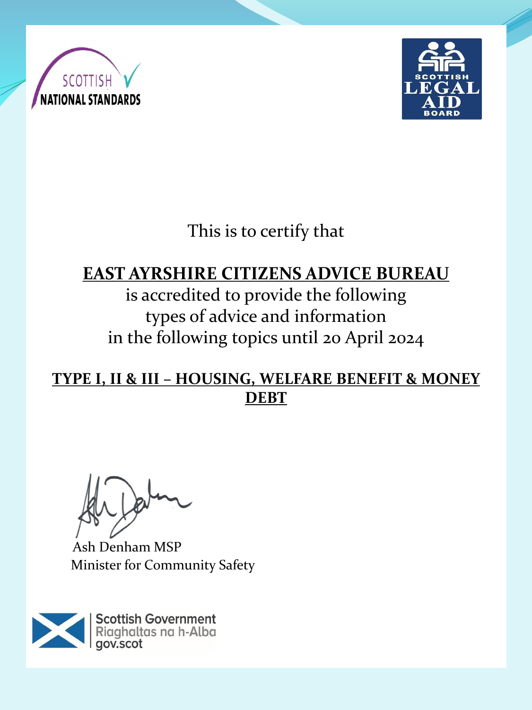



This is to certify that

## **EAST AYRSHIRE CITIZENS ADVICE BUREAU**

is accredited to provide the following types of advice and information in the following topics until 20 April 2024

**TYPE I, II & III – HOUSING, WELFARE BENEFIT & MONEY DEBT**

Ash Denham MSP Minister for Community Safety

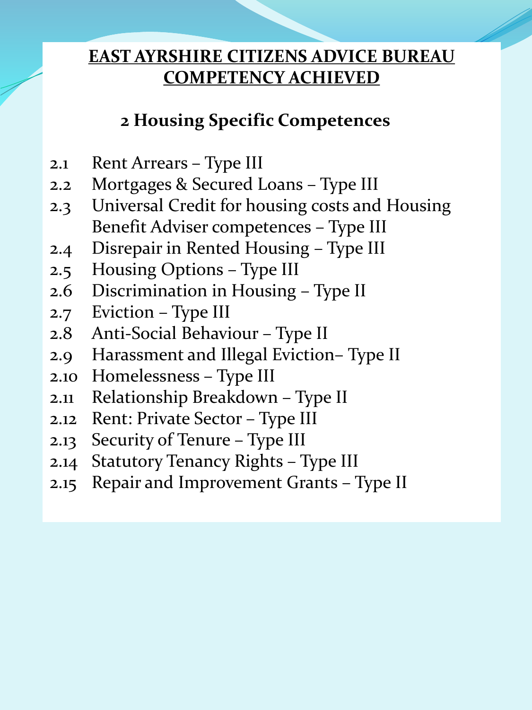## **2 Housing Specific Competences**

- 2.1 Rent Arrears Type III
- 2.2 Mortgages & Secured Loans Type III
- 2.3 Universal Credit for housing costs and Housing Benefit Adviser competences – Type III
- 2.4 Disrepair in Rented Housing Type III
- 2.5 Housing Options Type III
- 2.6 Discrimination in Housing Type II
- 2.7 Eviction Type III
- 2.8 Anti-Social Behaviour Type II
- 2.9 Harassment and Illegal Eviction– Type II
- 2.10 Homelessness Type III
- 2.11 Relationship Breakdown Type II
- 2.12 Rent: Private Sector Type III
- 2.13 Security of Tenure Type III
- 2.14 Statutory Tenancy Rights Type III
- 2.15 Repair and Improvement Grants Type II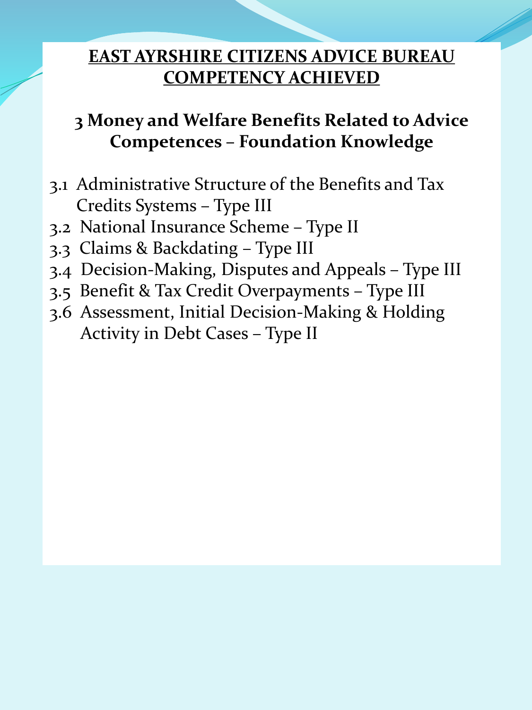# **3 Money and Welfare Benefits Related to Advice Competences – Foundation Knowledge**

- 3.1 Administrative Structure of the Benefits and Tax Credits Systems – Type III
- 3.2 National Insurance Scheme Type II
- 3.3 Claims & Backdating Type III
- 3.4 Decision-Making, Disputes and Appeals Type III
- 3.5 Benefit & Tax Credit Overpayments Type III
- 3.6 Assessment, Initial Decision-Making & Holding Activity in Debt Cases – Type II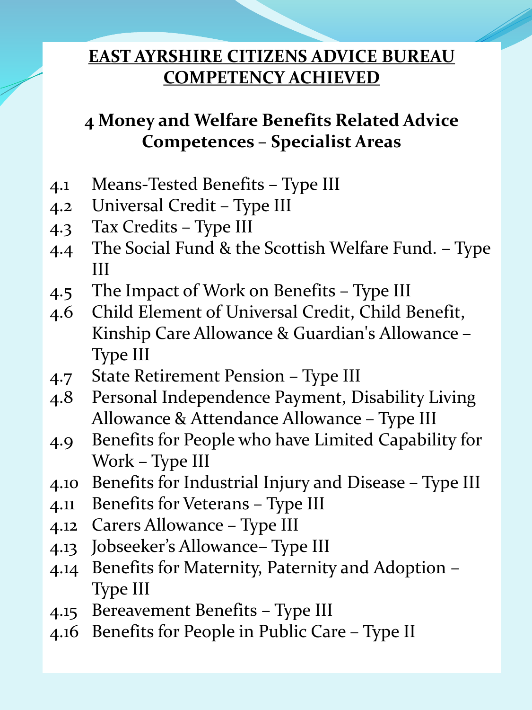# **4 Money and Welfare Benefits Related Advice Competences – Specialist Areas**

- 4.1 Means-Tested Benefits Type III
- 4.2 Universal Credit Type III
- 4.3 Tax Credits Type III
- 4.4 The Social Fund & the Scottish Welfare Fund. Type III
- 4.5 The Impact of Work on Benefits Type III
- 4.6 Child Element of Universal Credit, Child Benefit, Kinship Care Allowance & Guardian's Allowance – Type III
- 4.7 State Retirement Pension Type III
- 4.8 Personal Independence Payment, Disability Living Allowance & Attendance Allowance – Type III
- 4.9 Benefits for People who have Limited Capability for Work – Type III
- 4.10 Benefits for Industrial Injury and Disease Type III
- 4.11 Benefits for Veterans Type III
- 4.12 Carers Allowance Type III
- 4.13 Jobseeker's Allowance– Type III
- 4.14 Benefits for Maternity, Paternity and Adoption Type III
- 4.15 Bereavement Benefits Type III
- 4.16 Benefits for People in Public Care Type II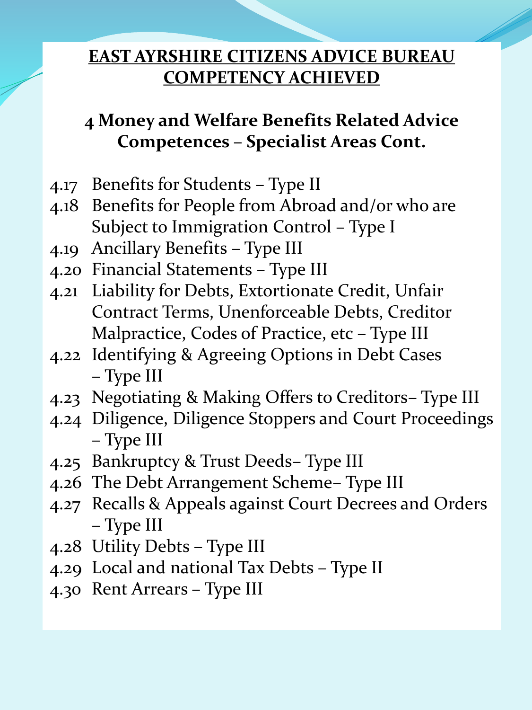## **4 Money and Welfare Benefits Related Advice Competences – Specialist Areas Cont.**

- 4.17 Benefits for Students Type II
- 4.18 Benefits for People from Abroad and/or who are Subject to Immigration Control – Type I
- 4.19 Ancillary Benefits Type III
- 4.20 Financial Statements Type III
- 4.21 Liability for Debts, Extortionate Credit, Unfair Contract Terms, Unenforceable Debts, Creditor Malpractice, Codes of Practice, etc – Type III
- 4.22 Identifying & Agreeing Options in Debt Cases – Type III
- 4.23 Negotiating & Making Offers to Creditors– Type III
- 4.24 Diligence, Diligence Stoppers and Court Proceedings – Type III
- 4.25 Bankruptcy & Trust Deeds– Type III
- 4.26 The Debt Arrangement Scheme– Type III
- 4.27 Recalls & Appeals against Court Decrees and Orders – Type III
- 4.28 Utility Debts Type III
- 4.29 Local and national Tax Debts Type II
- 4.30 Rent Arrears Type III